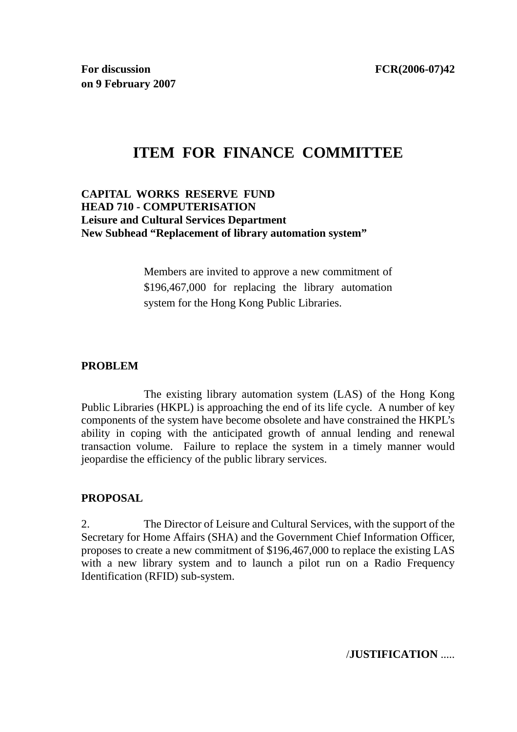**For discussion** FCR(2006-07)42 **on 9 February 2007** 

# **ITEM FOR FINANCE COMMITTEE**

#### **CAPITAL WORKS RESERVE FUND HEAD 710 - COMPUTERISATION Leisure and Cultural Services Department New Subhead "Replacement of library automation system"**

Members are invited to approve a new commitment of \$196,467,000 for replacing the library automation system for the Hong Kong Public Libraries.

#### **PROBLEM**

 The existing library automation system (LAS) of the Hong Kong Public Libraries (HKPL) is approaching the end of its life cycle. A number of key components of the system have become obsolete and have constrained the HKPL's ability in coping with the anticipated growth of annual lending and renewal transaction volume. Failure to replace the system in a timely manner would jeopardise the efficiency of the public library services.

## **PROPOSAL**

2. The Director of Leisure and Cultural Services, with the support of the Secretary for Home Affairs (SHA) and the Government Chief Information Officer, proposes to create a new commitment of \$196,467,000 to replace the existing LAS with a new library system and to launch a pilot run on a Radio Frequency Identification (RFID) sub-system.

/**JUSTIFICATION** .....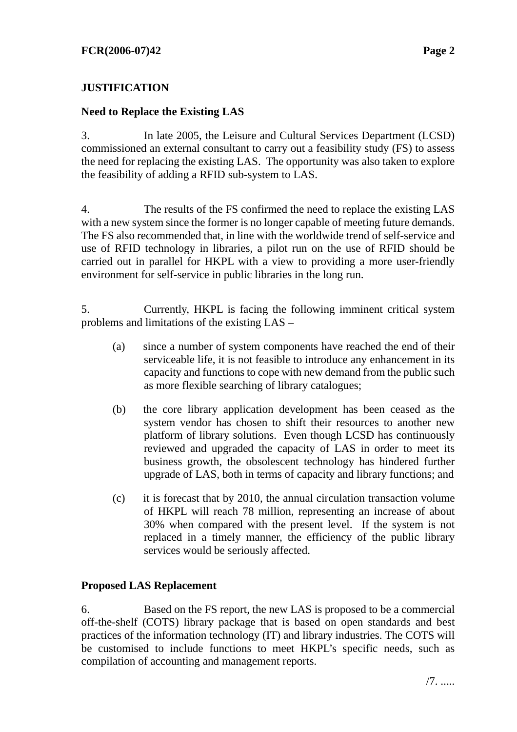# **JUSTIFICATION**

#### **Need to Replace the Existing LAS**

3. In late 2005, the Leisure and Cultural Services Department (LCSD) commissioned an external consultant to carry out a feasibility study (FS) to assess the need for replacing the existing LAS. The opportunity was also taken to explore the feasibility of adding a RFID sub-system to LAS.

4. The results of the FS confirmed the need to replace the existing LAS with a new system since the former is no longer capable of meeting future demands. The FS also recommended that, in line with the worldwide trend of self-service and use of RFID technology in libraries, a pilot run on the use of RFID should be carried out in parallel for HKPL with a view to providing a more user-friendly environment for self-service in public libraries in the long run.

5. Currently, HKPL is facing the following imminent critical system problems and limitations of the existing LAS –

- (a) since a number of system components have reached the end of their serviceable life, it is not feasible to introduce any enhancement in its capacity and functions to cope with new demand from the public such as more flexible searching of library catalogues;
- (b) the core library application development has been ceased as the system vendor has chosen to shift their resources to another new platform of library solutions. Even though LCSD has continuously reviewed and upgraded the capacity of LAS in order to meet its business growth, the obsolescent technology has hindered further upgrade of LAS, both in terms of capacity and library functions; and
- (c) it is forecast that by 2010, the annual circulation transaction volume of HKPL will reach 78 million, representing an increase of about 30% when compared with the present level. If the system is not replaced in a timely manner, the efficiency of the public library services would be seriously affected.

#### **Proposed LAS Replacement**

6. Based on the FS report, the new LAS is proposed to be a commercial off-the-shelf (COTS) library package that is based on open standards and best practices of the information technology (IT) and library industries. The COTS will be customised to include functions to meet HKPL's specific needs, such as compilation of accounting and management reports.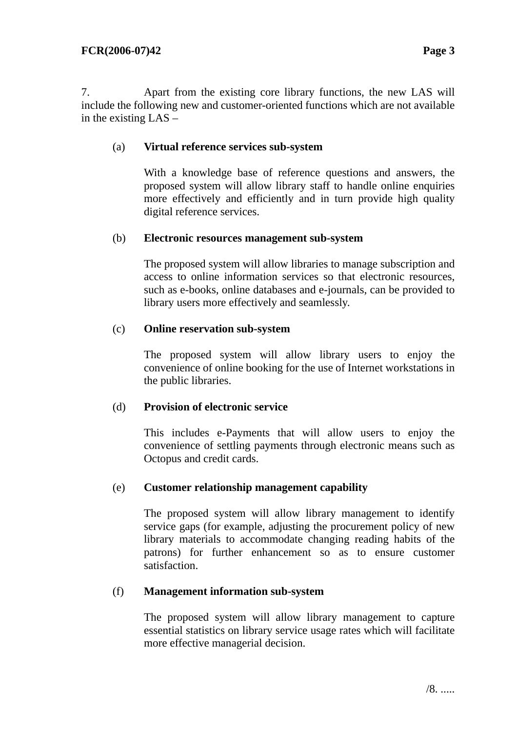7. Apart from the existing core library functions, the new LAS will include the following new and customer-oriented functions which are not available in the existing LAS –

#### (a) **Virtual reference services sub-system**

With a knowledge base of reference questions and answers, the proposed system will allow library staff to handle online enquiries more effectively and efficiently and in turn provide high quality digital reference services.

#### (b) **Electronic resources management sub-system**

The proposed system will allow libraries to manage subscription and access to online information services so that electronic resources, such as e-books, online databases and e-journals, can be provided to library users more effectively and seamlessly.

#### (c) **Online reservation sub-system**

The proposed system will allow library users to enjoy the convenience of online booking for the use of Internet workstations in the public libraries.

## (d) **Provision of electronic service**

This includes e-Payments that will allow users to enjoy the convenience of settling payments through electronic means such as Octopus and credit cards.

## (e) **Customer relationship management capability**

The proposed system will allow library management to identify service gaps (for example, adjusting the procurement policy of new library materials to accommodate changing reading habits of the patrons) for further enhancement so as to ensure customer satisfaction.

## (f) **Management information sub-system**

The proposed system will allow library management to capture essential statistics on library service usage rates which will facilitate more effective managerial decision.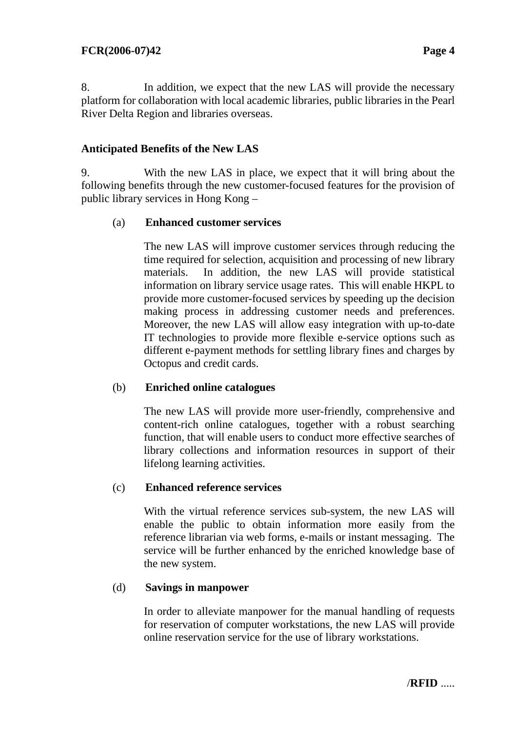8. In addition, we expect that the new LAS will provide the necessary platform for collaboration with local academic libraries, public libraries in the Pearl River Delta Region and libraries overseas.

# **Anticipated Benefits of the New LAS**

9. With the new LAS in place, we expect that it will bring about the following benefits through the new customer-focused features for the provision of public library services in Hong Kong –

## (a) **Enhanced customer services**

The new LAS will improve customer services through reducing the time required for selection, acquisition and processing of new library materials. In addition, the new LAS will provide statistical information on library service usage rates. This will enable HKPL to provide more customer-focused services by speeding up the decision making process in addressing customer needs and preferences. Moreover, the new LAS will allow easy integration with up-to-date IT technologies to provide more flexible e-service options such as different e-payment methods for settling library fines and charges by Octopus and credit cards.

## (b) **Enriched online catalogues**

The new LAS will provide more user-friendly, comprehensive and content-rich online catalogues, together with a robust searching function, that will enable users to conduct more effective searches of library collections and information resources in support of their lifelong learning activities.

## (c) **Enhanced reference services**

With the virtual reference services sub-system, the new LAS will enable the public to obtain information more easily from the reference librarian via web forms, e-mails or instant messaging. The service will be further enhanced by the enriched knowledge base of the new system.

#### (d) **Savings in manpower**

In order to alleviate manpower for the manual handling of requests for reservation of computer workstations, the new LAS will provide online reservation service for the use of library workstations.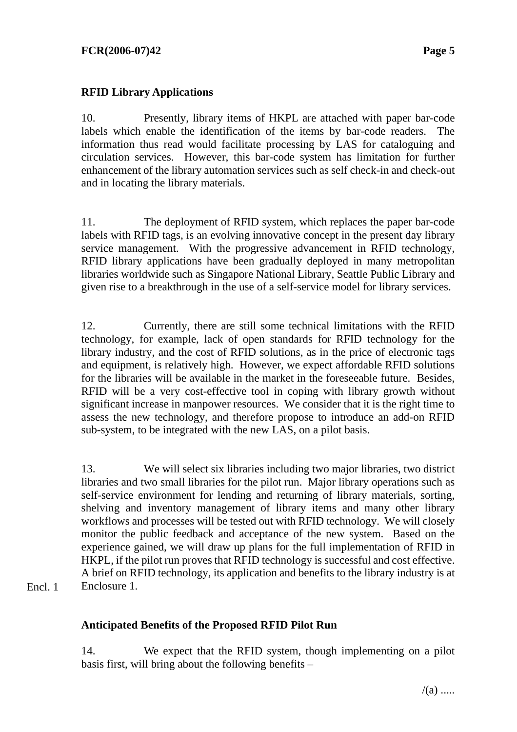# **RFID Library Applications**

10. Presently, library items of HKPL are attached with paper bar-code labels which enable the identification of the items by bar-code readers. The information thus read would facilitate processing by LAS for cataloguing and circulation services. However, this bar-code system has limitation for further enhancement of the library automation services such as self check-in and check-out and in locating the library materials.

11. The deployment of RFID system, which replaces the paper bar-code labels with RFID tags, is an evolving innovative concept in the present day library service management. With the progressive advancement in RFID technology, RFID library applications have been gradually deployed in many metropolitan libraries worldwide such as Singapore National Library, Seattle Public Library and given rise to a breakthrough in the use of a self-service model for library services.

12. Currently, there are still some technical limitations with the RFID technology, for example, lack of open standards for RFID technology for the library industry, and the cost of RFID solutions, as in the price of electronic tags and equipment, is relatively high. However, we expect affordable RFID solutions for the libraries will be available in the market in the foreseeable future. Besides, RFID will be a very cost-effective tool in coping with library growth without significant increase in manpower resources. We consider that it is the right time to assess the new technology, and therefore propose to introduce an add-on RFID sub-system, to be integrated with the new LAS, on a pilot basis.

13. We will select six libraries including two major libraries, two district libraries and two small libraries for the pilot run. Major library operations such as self-service environment for lending and returning of library materials, sorting, shelving and inventory management of library items and many other library workflows and processes will be tested out with RFID technology. We will closely monitor the public feedback and acceptance of the new system. Based on the experience gained, we will draw up plans for the full implementation of RFID in HKPL, if the pilot run proves that RFID technology is successful and cost effective. A brief on RFID technology, its application and benefits to the library industry is at Enclosure 1.

Encl. 1

## **Anticipated Benefits of the Proposed RFID Pilot Run**

14. We expect that the RFID system, though implementing on a pilot basis first, will bring about the following benefits –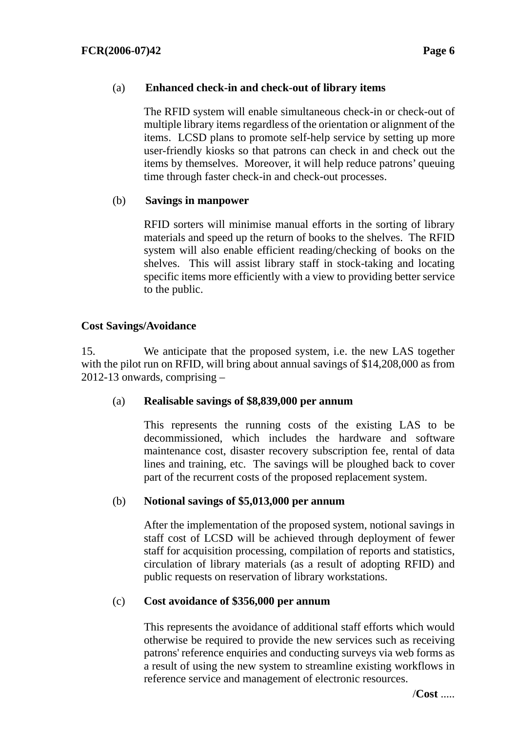## (a) **Enhanced check-in and check-out of library items**

The RFID system will enable simultaneous check-in or check-out of multiple library items regardless of the orientation or alignment of the items. LCSD plans to promote self-help service by setting up more user-friendly kiosks so that patrons can check in and check out the items by themselves. Moreover, it will help reduce patrons' queuing time through faster check-in and check-out processes.

## (b) **Savings in manpower**

RFID sorters will minimise manual efforts in the sorting of library materials and speed up the return of books to the shelves. The RFID system will also enable efficient reading/checking of books on the shelves. This will assist library staff in stock-taking and locating specific items more efficiently with a view to providing better service to the public.

## **Cost Savings/Avoidance**

15. We anticipate that the proposed system, i.e. the new LAS together with the pilot run on RFID, will bring about annual savings of \$14,208,000 as from 2012-13 onwards, comprising –

## (a) **Realisable savings of \$8,839,000 per annum**

This represents the running costs of the existing LAS to be decommissioned, which includes the hardware and software maintenance cost, disaster recovery subscription fee, rental of data lines and training, etc. The savings will be ploughed back to cover part of the recurrent costs of the proposed replacement system.

## (b) **Notional savings of \$5,013,000 per annum**

After the implementation of the proposed system, notional savings in staff cost of LCSD will be achieved through deployment of fewer staff for acquisition processing, compilation of reports and statistics, circulation of library materials (as a result of adopting RFID) and public requests on reservation of library workstations.

## (c) **Cost avoidance of \$356,000 per annum**

This represents the avoidance of additional staff efforts which would otherwise be required to provide the new services such as receiving patrons' reference enquiries and conducting surveys via web forms as a result of using the new system to streamline existing workflows in reference service and management of electronic resources.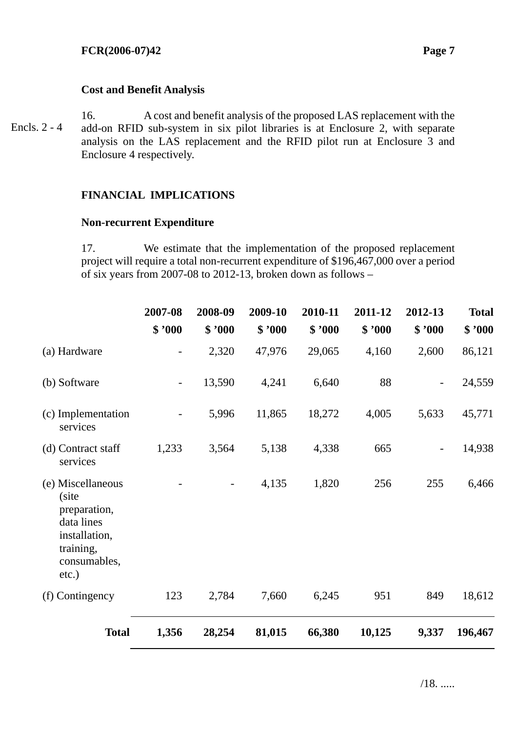#### **Cost and Benefit Analysis**

16. A cost and benefit analysis of the proposed LAS replacement with the add-on RFID sub-system in six pilot libraries is at Enclosure 2, with separate analysis on the LAS replacement and the RFID pilot run at Enclosure 3 and Enclosure 4 respectively. Encls. 2 - 4

# **FINANCIAL IMPLICATIONS**

#### **Non-recurrent Expenditure**

17. We estimate that the implementation of the proposed replacement project will require a total non-recurrent expenditure of \$196,467,000 over a period of six years from 2007-08 to 2012-13, broken down as follows –

|                                                                                                                    | 2007-08                  | 2008-09 | 2009-10 | 2010-11 | 2011-12 | 2012-13 | <b>Total</b> |
|--------------------------------------------------------------------------------------------------------------------|--------------------------|---------|---------|---------|---------|---------|--------------|
|                                                                                                                    | \$ 7000                  | \$ 7000 | \$ 7000 | \$ 7000 | \$ 7000 | \$ 7000 | \$ 7000      |
| (a) Hardware                                                                                                       |                          | 2,320   | 47,976  | 29,065  | 4,160   | 2,600   | 86,121       |
| (b) Software                                                                                                       | $\overline{\phantom{a}}$ | 13,590  | 4,241   | 6,640   | 88      |         | 24,559       |
| (c) Implementation<br>services                                                                                     | $\overline{\phantom{0}}$ | 5,996   | 11,865  | 18,272  | 4,005   | 5,633   | 45,771       |
| (d) Contract staff<br>services                                                                                     | 1,233                    | 3,564   | 5,138   | 4,338   | 665     |         | 14,938       |
| (e) Miscellaneous<br>(site<br>preparation,<br>data lines<br>installation,<br>training,<br>consumables,<br>$etc.$ ) |                          |         | 4,135   | 1,820   | 256     | 255     | 6,466        |
| (f) Contingency                                                                                                    | 123                      | 2,784   | 7,660   | 6,245   | 951     | 849     | 18,612       |
| <b>Total</b>                                                                                                       | 1,356                    | 28,254  | 81,015  | 66,380  | 10,125  | 9,337   | 196,467      |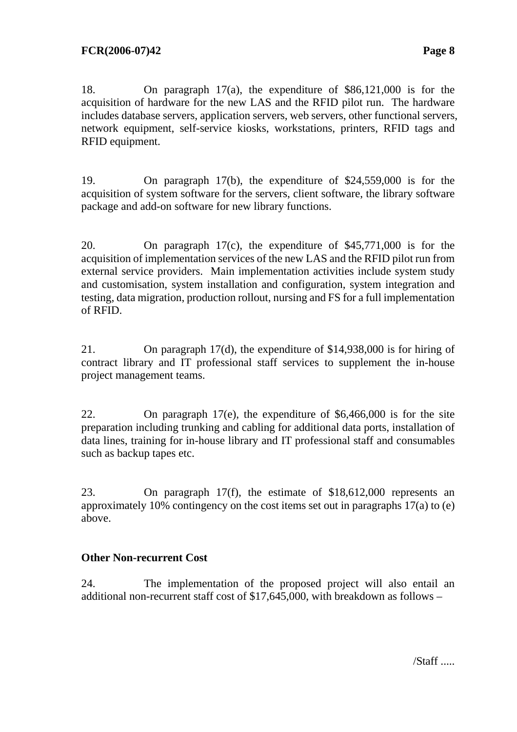18. On paragraph 17(a), the expenditure of \$86,121,000 is for the acquisition of hardware for the new LAS and the RFID pilot run. The hardware includes database servers, application servers, web servers, other functional servers, network equipment, self-service kiosks, workstations, printers, RFID tags and RFID equipment.

19. On paragraph 17(b), the expenditure of \$24,559,000 is for the acquisition of system software for the servers, client software, the library software package and add-on software for new library functions.

20. On paragraph 17(c), the expenditure of \$45,771,000 is for the acquisition of implementation services of the new LAS and the RFID pilot run from external service providers. Main implementation activities include system study and customisation, system installation and configuration, system integration and testing, data migration, production rollout, nursing and FS for a full implementation of RFID.

21. On paragraph 17(d), the expenditure of \$14,938,000 is for hiring of contract library and IT professional staff services to supplement the in-house project management teams.

22. On paragraph 17(e), the expenditure of \$6,466,000 is for the site preparation including trunking and cabling for additional data ports, installation of data lines, training for in-house library and IT professional staff and consumables such as backup tapes etc.

23. On paragraph 17(f), the estimate of \$18,612,000 represents an approximately 10% contingency on the cost items set out in paragraphs 17(a) to (e) above.

# **Other Non-recurrent Cost**

24. The implementation of the proposed project will also entail an additional non-recurrent staff cost of \$17,645,000, with breakdown as follows –

/Staff .....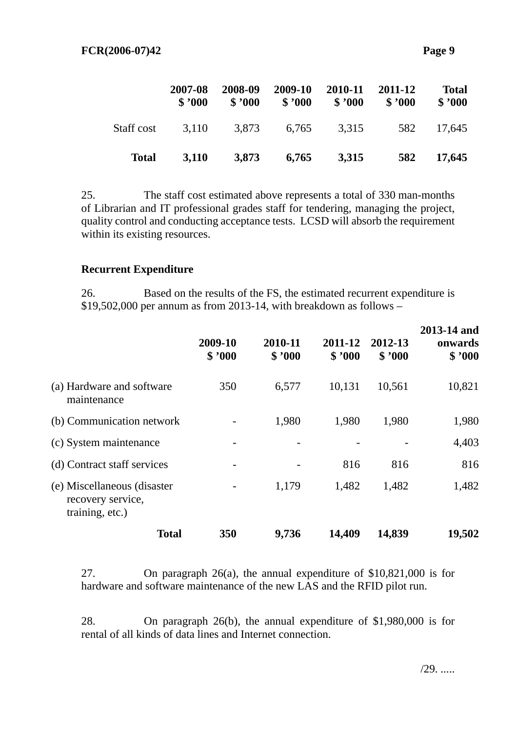|              | 2007-08<br>\$3000 | 2008-09<br>\$3000 | 2009-10<br>\$3000 | 2010-11<br>\$3000 | 2011-12<br>\$3000 | <b>Total</b><br>\$3000 |
|--------------|-------------------|-------------------|-------------------|-------------------|-------------------|------------------------|
| Staff cost   | 3,110             | 3,873             | 6.765             | 3,315             | 582               | 17.645                 |
| <b>Total</b> | 3,110             | 3,873             | 6,765             | 3,315             | 582               | 17,645                 |

25. The staff cost estimated above represents a total of 330 man-months of Librarian and IT professional grades staff for tendering, managing the project, quality control and conducting acceptance tests. LCSD will absorb the requirement within its existing resources.

#### **Recurrent Expenditure**

26. Based on the results of the FS, the estimated recurrent expenditure is \$19,502,000 per annum as from 2013-14, with breakdown as follows –

|                                                                     | 2009-10<br>\$3000 | 2010-11<br>\$3000 | 2011-12<br>\$3000 | 2012-13<br>\$3000 | 2013-14 and<br>onwards<br>\$3000 |
|---------------------------------------------------------------------|-------------------|-------------------|-------------------|-------------------|----------------------------------|
| (a) Hardware and software<br>maintenance                            | 350               | 6,577             | 10,131            | 10,561            | 10,821                           |
| (b) Communication network                                           |                   | 1,980             | 1,980             | 1,980             | 1,980                            |
| (c) System maintenance                                              |                   |                   |                   |                   | 4,403                            |
| (d) Contract staff services                                         |                   |                   | 816               | 816               | 816                              |
| (e) Miscellaneous (disaster<br>recovery service,<br>training, etc.) |                   | 1,179             | 1,482             | 1,482             | 1,482                            |
| <b>Total</b>                                                        | 350               | 9,736             | 14,409            | 14,839            | 19,502                           |

27. On paragraph 26(a), the annual expenditure of \$10,821,000 is for hardware and software maintenance of the new LAS and the RFID pilot run.

28. On paragraph 26(b), the annual expenditure of \$1,980,000 is for rental of all kinds of data lines and Internet connection.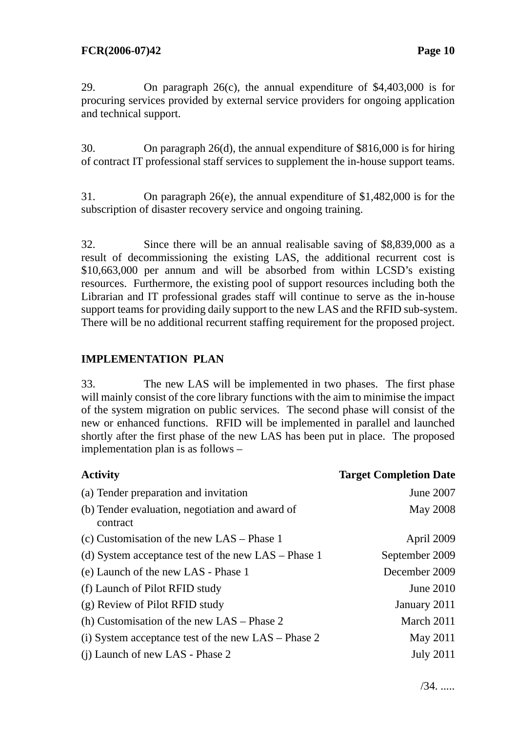29. On paragraph 26(c), the annual expenditure of \$4,403,000 is for procuring services provided by external service providers for ongoing application and technical support.

30. On paragraph 26(d), the annual expenditure of \$816,000 is for hiring of contract IT professional staff services to supplement the in-house support teams.

31. On paragraph 26(e), the annual expenditure of \$1,482,000 is for the subscription of disaster recovery service and ongoing training.

32. Since there will be an annual realisable saving of \$8,839,000 as a result of decommissioning the existing LAS, the additional recurrent cost is \$10,663,000 per annum and will be absorbed from within LCSD's existing resources. Furthermore, the existing pool of support resources including both the Librarian and IT professional grades staff will continue to serve as the in-house support teams for providing daily support to the new LAS and the RFID sub-system. There will be no additional recurrent staffing requirement for the proposed project.

# **IMPLEMENTATION PLAN**

33. The new LAS will be implemented in two phases. The first phase will mainly consist of the core library functions with the aim to minimise the impact of the system migration on public services. The second phase will consist of the new or enhanced functions. RFID will be implemented in parallel and launched shortly after the first phase of the new LAS has been put in place. The proposed implementation plan is as follows –

| <b>Activity</b>                                             | <b>Target Completion Date</b> |
|-------------------------------------------------------------|-------------------------------|
| (a) Tender preparation and invitation                       | June 2007                     |
| (b) Tender evaluation, negotiation and award of<br>contract | <b>May 2008</b>               |
| (c) Customisation of the new $LAS - Phase 1$                | April 2009                    |
| (d) System acceptance test of the new LAS – Phase 1         | September 2009                |
| (e) Launch of the new LAS - Phase 1                         | December 2009                 |
| (f) Launch of Pilot RFID study                              | <b>June 2010</b>              |
| (g) Review of Pilot RFID study                              | January 2011                  |
| (h) Customisation of the new $LAS - Phase 2$                | March 2011                    |
| (i) System acceptance test of the new LAS – Phase 2         | May 2011                      |
| (i) Launch of new LAS - Phase 2                             | <b>July 2011</b>              |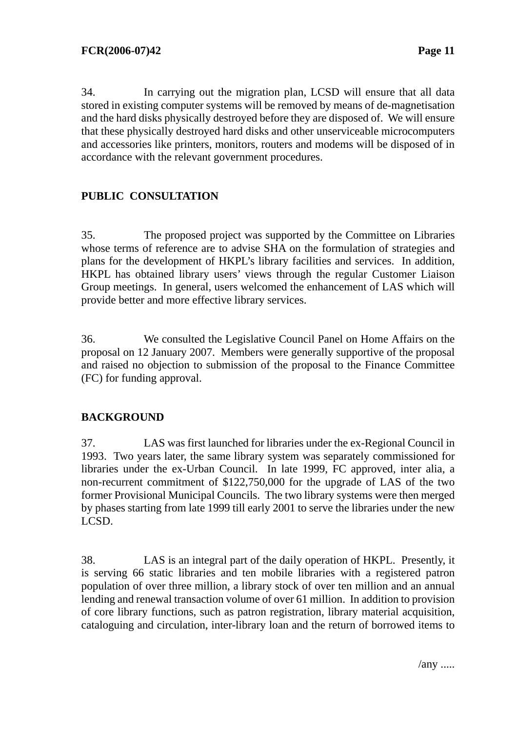34. In carrying out the migration plan, LCSD will ensure that all data stored in existing computer systems will be removed by means of de-magnetisation and the hard disks physically destroyed before they are disposed of. We will ensure that these physically destroyed hard disks and other unserviceable microcomputers and accessories like printers, monitors, routers and modems will be disposed of in accordance with the relevant government procedures.

# **PUBLIC CONSULTATION**

35. The proposed project was supported by the Committee on Libraries whose terms of reference are to advise SHA on the formulation of strategies and plans for the development of HKPL's library facilities and services. In addition, HKPL has obtained library users' views through the regular Customer Liaison Group meetings. In general, users welcomed the enhancement of LAS which will provide better and more effective library services.

36. We consulted the Legislative Council Panel on Home Affairs on the proposal on 12 January 2007. Members were generally supportive of the proposal and raised no objection to submission of the proposal to the Finance Committee (FC) for funding approval.

# **BACKGROUND**

37. LAS was first launched for libraries under the ex-Regional Council in 1993. Two years later, the same library system was separately commissioned for libraries under the ex-Urban Council. In late 1999, FC approved, inter alia, a non-recurrent commitment of \$122,750,000 for the upgrade of LAS of the two former Provisional Municipal Councils. The two library systems were then merged by phases starting from late 1999 till early 2001 to serve the libraries under the new LCSD.

38. LAS is an integral part of the daily operation of HKPL. Presently, it is serving 66 static libraries and ten mobile libraries with a registered patron population of over three million, a library stock of over ten million and an annual lending and renewal transaction volume of over 61 million. In addition to provision of core library functions, such as patron registration, library material acquisition, cataloguing and circulation, inter-library loan and the return of borrowed items to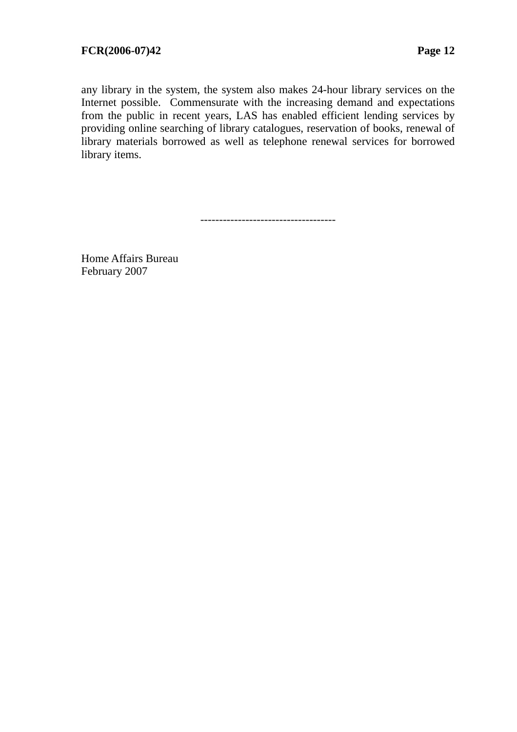any library in the system, the system also makes 24-hour library services on the Internet possible. Commensurate with the increasing demand and expectations from the public in recent years, LAS has enabled efficient lending services by providing online searching of library catalogues, reservation of books, renewal of library materials borrowed as well as telephone renewal services for borrowed library items.

------------------------------------

Home Affairs Bureau February 2007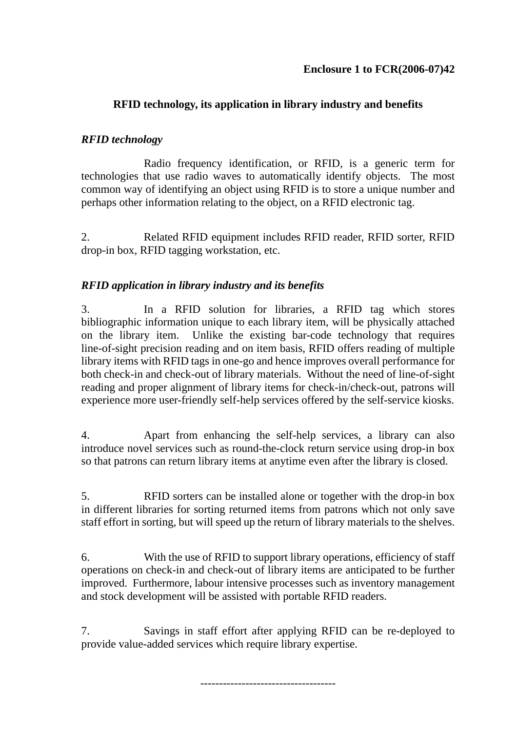# **RFID technology, its application in library industry and benefits**

# *RFID technology*

 Radio frequency identification, or RFID, is a generic term for technologies that use radio waves to automatically identify objects. The most common way of identifying an object using RFID is to store a unique number and perhaps other information relating to the object, on a RFID electronic tag.

2. Related RFID equipment includes RFID reader, RFID sorter, RFID drop-in box, RFID tagging workstation, etc.

# *RFID application in library industry and its benefits*

3. In a RFID solution for libraries, a RFID tag which stores bibliographic information unique to each library item, will be physically attached on the library item. Unlike the existing bar-code technology that requires line-of-sight precision reading and on item basis, RFID offers reading of multiple library items with RFID tags in one-go and hence improves overall performance for both check-in and check-out of library materials. Without the need of line-of-sight reading and proper alignment of library items for check-in/check-out, patrons will experience more user-friendly self-help services offered by the self-service kiosks.

4. Apart from enhancing the self-help services, a library can also introduce novel services such as round-the-clock return service using drop-in box so that patrons can return library items at anytime even after the library is closed.

5. RFID sorters can be installed alone or together with the drop-in box in different libraries for sorting returned items from patrons which not only save staff effort in sorting, but will speed up the return of library materials to the shelves.

6. With the use of RFID to support library operations, efficiency of staff operations on check-in and check-out of library items are anticipated to be further improved. Furthermore, labour intensive processes such as inventory management and stock development will be assisted with portable RFID readers.

7. Savings in staff effort after applying RFID can be re-deployed to provide value-added services which require library expertise.

------------------------------------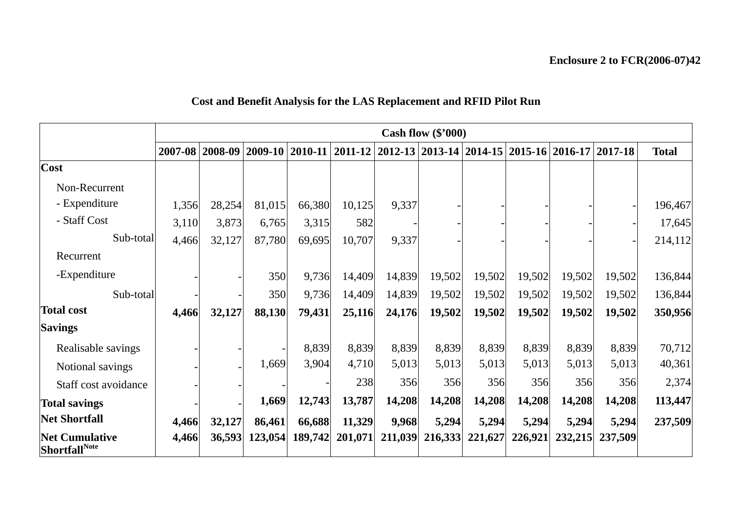# **Cost and Benefit Analysis for the LAS Replacement and RFID Pilot Run**

|                                                |         |             |         |                 |                                                           |         | Cash flow $(\$'000)$ |         |         |         |             |              |
|------------------------------------------------|---------|-------------|---------|-----------------|-----------------------------------------------------------|---------|----------------------|---------|---------|---------|-------------|--------------|
|                                                | 2007-08 | $2008 - 09$ |         | 2009-10 2010-11 | 2011-12   2012-13   2013-14   2014-15   2015-16   2016-17 |         |                      |         |         |         | $2017 - 18$ | <b>Total</b> |
| Cost                                           |         |             |         |                 |                                                           |         |                      |         |         |         |             |              |
| Non-Recurrent                                  |         |             |         |                 |                                                           |         |                      |         |         |         |             |              |
| - Expenditure                                  | 1,356   | 28,254      | 81,015  | 66,380          | 10,125                                                    | 9,337   |                      |         |         |         |             | 196,467      |
| - Staff Cost                                   | 3,110   | 3,873       | 6,765   | 3,315           | 582                                                       |         |                      |         |         |         |             | 17,645       |
| Sub-total                                      | 4,466   | 32,127      | 87,780  | 69,695          | 10,707                                                    | 9,337   |                      |         |         |         |             | 214,112      |
| Recurrent                                      |         |             |         |                 |                                                           |         |                      |         |         |         |             |              |
| -Expenditure                                   |         |             | 350     | 9,736           | 14,409                                                    | 14,839  | 19,502               | 19,502  | 19,502  | 19,502  | 19,502      | 136,844      |
| Sub-total                                      |         |             | 350     | 9,736           | 14,409                                                    | 14,839  | 19,502               | 19,502  | 19,502  | 19,502  | 19,502      | 136,844      |
| <b>Total cost</b>                              | 4,466   | 32,127      | 88,130  | 79,431          | 25,116                                                    | 24,176  | 19,502               | 19,502  | 19,502  | 19,502  | 19,502      | 350,956      |
| <b>Savings</b>                                 |         |             |         |                 |                                                           |         |                      |         |         |         |             |              |
| Realisable savings                             |         |             |         | 8,839           | 8,839                                                     | 8,839   | 8,839                | 8,839   | 8,839   | 8,839   | 8,839       | 70,712       |
| Notional savings                               |         |             | 1,669   | 3,904           | 4,710                                                     | 5,013   | 5,013                | 5,013   | 5,013   | 5,013   | 5,013       | 40,361       |
| Staff cost avoidance                           |         |             |         |                 | 238                                                       | 356     | 356                  | 356     | 356     | 356     | 356         | 2,374        |
| <b>Total savings</b>                           |         |             | 1,669   | 12,743          | 13,787                                                    | 14,208  | 14,208               | 14,208  | 14,208  | 14,208  | 14,208      | 113,447      |
| <b>Net Shortfall</b>                           | 4,466   | 32,127      | 86,461  | 66,688          | 11,329                                                    | 9,968   | 5,294                | 5,294   | 5,294   | 5,294   | 5,294       | 237,509      |
| <b>Net Cumulative</b><br><b>Shortfall</b> Note | 4,466   | 36,593      | 123,054 |                 | 189,742 201,071                                           | 211,039 | 216,333              | 221,627 | 226,921 | 232,215 | 237,509     |              |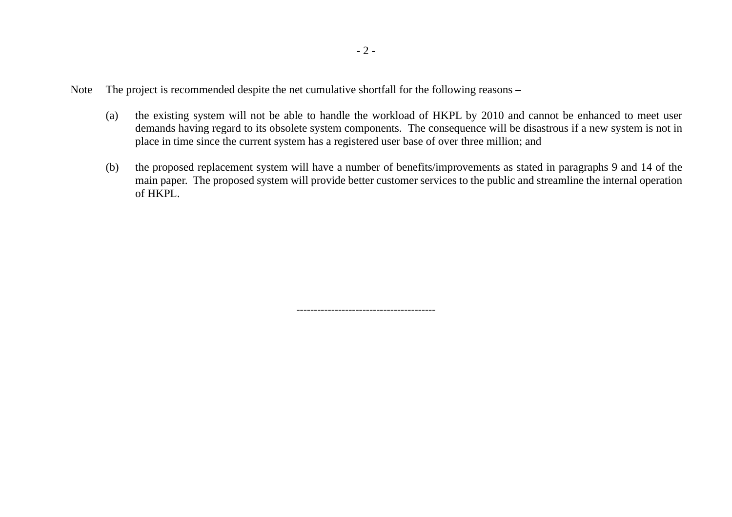- Note The project is recommended despite the net cumulative shortfall for the following reasons
	- (a) the existing system will not be able to handle the workload of HKPL by 2010 and cannot be enhanced to meet user demands having regard to its obsolete system components. The consequence will be disastrous if a new system is not in place in time since the current system has a registered user base of over three million; and
	- (b) the proposed replacement system will have a number of benefits/improvements as stated in paragraphs 9 and 14 of the main paper. The proposed system will provide better customer services to the public and streamline the internal operation of HKPL.

----------------------------------------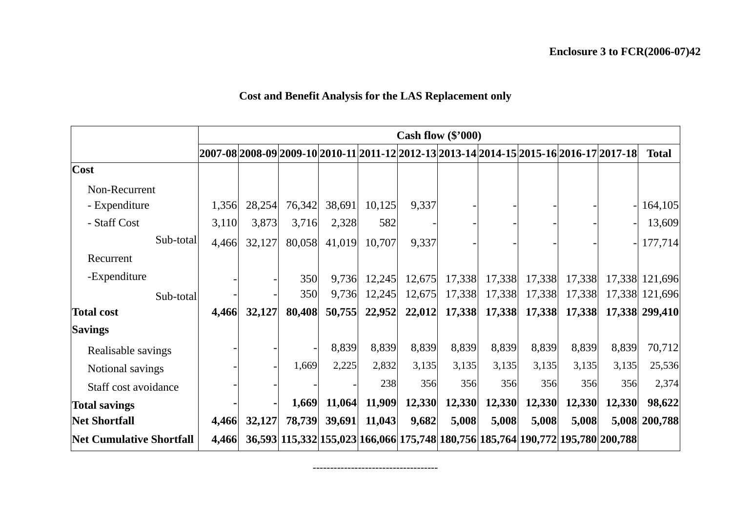# **Cost and Benefit Analysis for the LAS Replacement only**

|                                 |       |        |        |        |        |        | Cash flow $(\$'000)$ |        |        |        |                                                                                         |                |
|---------------------------------|-------|--------|--------|--------|--------|--------|----------------------|--------|--------|--------|-----------------------------------------------------------------------------------------|----------------|
|                                 |       |        |        |        |        |        |                      |        |        |        | 2007-08 2008-09 2009-10 2010-11 2011-12 2012-13 2013-14 2014-15 2015-16 2016-17 2017-18 | <b>Total</b>   |
| <b>Cost</b>                     |       |        |        |        |        |        |                      |        |        |        |                                                                                         |                |
| Non-Recurrent                   |       |        |        |        |        |        |                      |        |        |        |                                                                                         |                |
| - Expenditure                   | 1,356 | 28,254 | 76,342 | 38,691 | 10,125 | 9,337  |                      |        |        |        |                                                                                         | 164,105        |
| - Staff Cost                    | 3,110 | 3,873  | 3,716  | 2,328  | 582    |        |                      |        |        |        |                                                                                         | 13,609         |
| Sub-total                       | 4,466 | 32,127 | 80,058 | 41,019 | 10,707 | 9,337  |                      |        |        |        |                                                                                         | 177,714        |
| Recurrent                       |       |        |        |        |        |        |                      |        |        |        |                                                                                         |                |
| -Expenditure                    |       |        | 350    | 9,736  | 12,245 | 12,675 | 17,338               | 17,338 | 17,338 | 17,338 |                                                                                         | 17,338 121,696 |
| Sub-total                       |       |        | 350    | 9,736  | 12,245 | 12,675 | 17,338               | 17,338 | 17,338 | 17,338 |                                                                                         | 17,338 121,696 |
| <b>Total cost</b>               | 4,466 | 32,127 | 80,408 | 50,755 | 22,952 | 22,012 | 17,338               | 17,338 | 17,338 | 17,338 |                                                                                         | 17,338 299,410 |
| <b>Savings</b>                  |       |        |        |        |        |        |                      |        |        |        |                                                                                         |                |
| Realisable savings              |       |        |        | 8,839  | 8,839  | 8,839  | 8,839                | 8,839  | 8,839  | 8,839  | 8,839                                                                                   | 70,712         |
| Notional savings                |       |        | 1,669  | 2,225  | 2,832  | 3,135  | 3,135                | 3,135  | 3,135  | 3,135  | 3,135                                                                                   | 25,536         |
| Staff cost avoidance            |       |        |        |        | 238    | 356    | 356                  | 356    | 356    | 356    | 356                                                                                     | 2,374          |
| <b>Total savings</b>            |       |        | 1,669  | 11,064 | 11,909 | 12,330 | 12,330               | 12,330 | 12,330 | 12,330 | 12,330                                                                                  | 98,622         |
| <b>Net Shortfall</b>            | 4,466 | 32,127 | 78,739 | 39,691 | 11,043 | 9,682  | 5,008                | 5,008  | 5,008  | 5,008  |                                                                                         | 5,008 200,788  |
| <b>Net Cumulative Shortfall</b> | 4,466 |        |        |        |        |        |                      |        |        |        | 36,593 115,332 155,023 166,066 175,748 180,756 185,764 190,772 195,780 200,788          |                |

------------------------------------